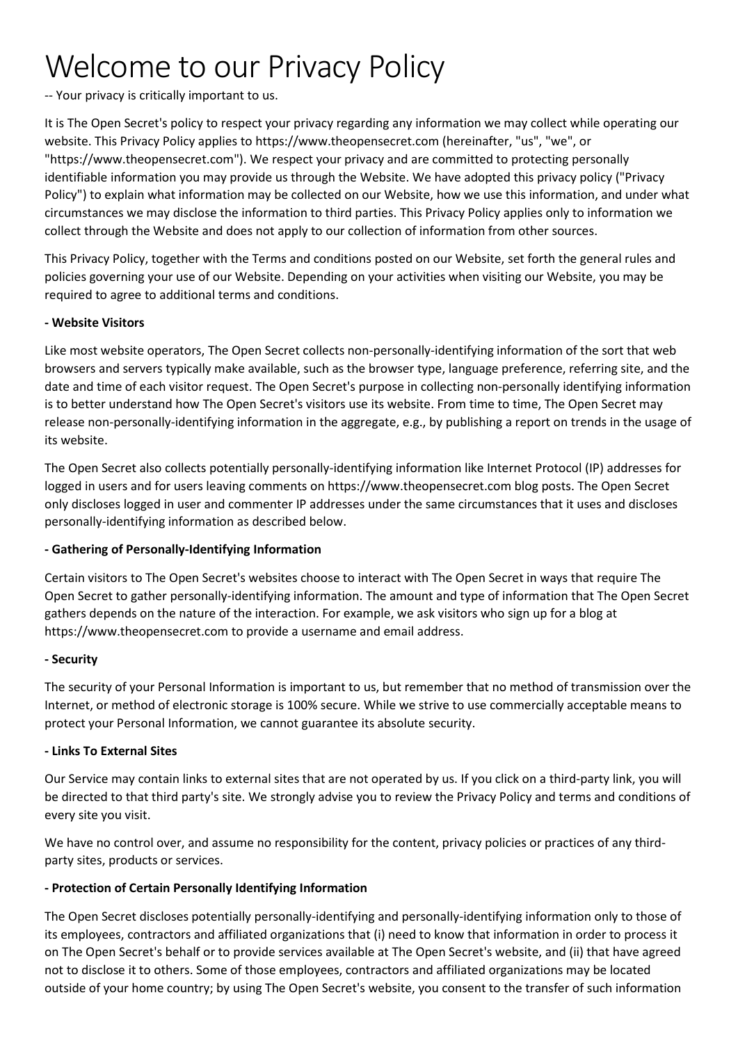# Welcome to our Privacy Policy

-- Your privacy is critically important to us.

It is The Open Secret's policy to respect your privacy regarding any information we may collect while operating our website. This Privacy Policy applies to https://www.theopensecret.com (hereinafter, "us", "we", or "https://www.theopensecret.com"). We respect your privacy and are committed to protecting personally identifiable information you may provide us through the Website. We have adopted this privacy policy ("Privacy Policy") to explain what information may be collected on our Website, how we use this information, and under what circumstances we may disclose the information to third parties. This Privacy Policy applies only to information we collect through the Website and does not apply to our collection of information from other sources.

This Privacy Policy, together with the Terms and conditions posted on our Website, set forth the general rules and policies governing your use of our Website. Depending on your activities when visiting our Website, you may be required to agree to additional terms and conditions.

### **- Website Visitors**

Like most website operators, The Open Secret collects non-personally-identifying information of the sort that web browsers and servers typically make available, such as the browser type, language preference, referring site, and the date and time of each visitor request. The Open Secret's purpose in collecting non-personally identifying information is to better understand how The Open Secret's visitors use its website. From time to time, The Open Secret may release non-personally-identifying information in the aggregate, e.g., by publishing a report on trends in the usage of its website.

The Open Secret also collects potentially personally-identifying information like Internet Protocol (IP) addresses for logged in users and for users leaving comments on https://www.theopensecret.com blog posts. The Open Secret only discloses logged in user and commenter IP addresses under the same circumstances that it uses and discloses personally-identifying information as described below.

## **- Gathering of Personally-Identifying Information**

Certain visitors to The Open Secret's websites choose to interact with The Open Secret in ways that require The Open Secret to gather personally-identifying information. The amount and type of information that The Open Secret gathers depends on the nature of the interaction. For example, we ask visitors who sign up for a blog at https://www.theopensecret.com to provide a username and email address.

#### **- Security**

The security of your Personal Information is important to us, but remember that no method of transmission over the Internet, or method of electronic storage is 100% secure. While we strive to use commercially acceptable means to protect your Personal Information, we cannot guarantee its absolute security.

#### **- Links To External Sites**

Our Service may contain links to external sites that are not operated by us. If you click on a third-party link, you will be directed to that third party's site. We strongly advise you to review the Privacy Policy and terms and conditions of every site you visit.

We have no control over, and assume no responsibility for the content, privacy policies or practices of any thirdparty sites, products or services.

## **- Protection of Certain Personally Identifying Information**

The Open Secret discloses potentially personally-identifying and personally-identifying information only to those of its employees, contractors and affiliated organizations that (i) need to know that information in order to process it on The Open Secret's behalf or to provide services available at The Open Secret's website, and (ii) that have agreed not to disclose it to others. Some of those employees, contractors and affiliated organizations may be located outside of your home country; by using The Open Secret's website, you consent to the transfer of such information